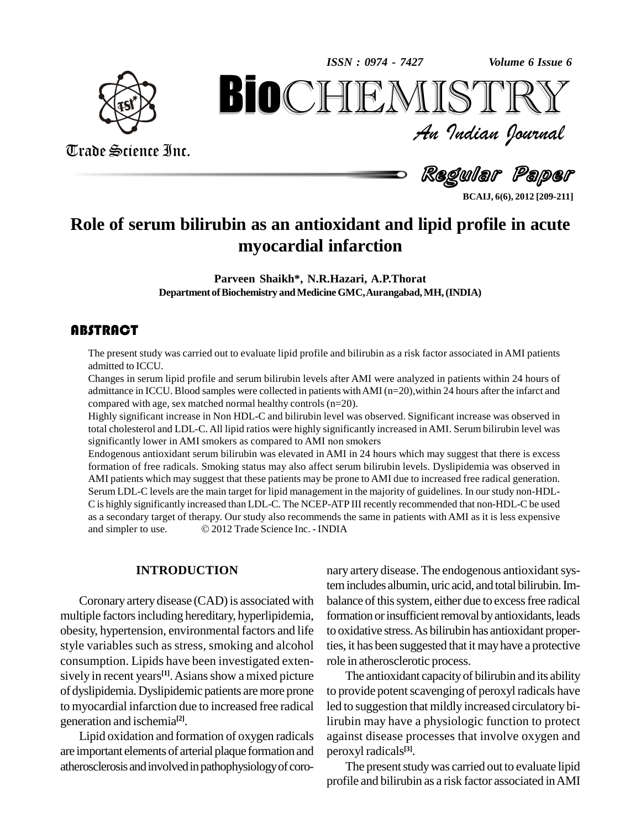*Volume 6 Issue 6*



Trade Science Inc.

Trade Science Inc.

*Volume* 6 Issue 6<br> $\sum \mathbb{R} \mathbb{Y}$ <br>*Indian Ocurnal* **BioCHEMISTRY**<br>
An Indian Iournal<br>
Regular Paper<br>
Regular Paper<br>
Regular Paper<br>
Bion as an antioxidant and lipid profile in acute<br>
myocardial infarction

Regular Paper

**BCAIJ, 6(6), 2012 [209-211]**

## **Role of serum bilirubin as an antioxidant and lipid profile in acute myocardial infarction**

**Parveen Shaikh\*, N.R.Hazari, A.P.Thorat** Department of Biochemistry and Medicine GMC, Aurangabad, MH, (INDIA)

## **ABSTRACT**

The present study was carried out to evaluate lipid profile and bilirubin as a risk factor associated in AMI patients<br>admitted to ICCU.<br>Changes in serum lipid profile and serum bilirubin levels after AMI were analyzed in p The present study was carried out to evaluate lipid profile and bilirubin as a risk factor associated in AMI patients admitted to ICCU.

admittance in ICCU. Blood samples were collected in patients withAMI (n=20),within 24 hours after the infarct and compared with age, sex matched normal healthy controls  $(n=20)$ .

Highly significant increase in Non HDL-C and bilirubin level was observed. Significant increase was observed in total cholesterol and LDL-C. All lipid ratios were highly significantly increased inAMI. Serum bilirubin level was Highly significant increase in Non HDL-C and bilirubin level was observed. Stotal cholesterol and LDL-C. All lipid ratios were highly significantly increase<br>significantly lower in AMI smokers as compared to AMI non smokers

Endogenous antioxidant serum bilirubin was elevated in AMI in 24 hours which may suggest that there is excess formation of free radicals. Smoking status may also affect serum bilirubin levels. Dyslipidemia was observed in AMI patients which may suggest that these patients may be prone to AMI due to increased free radical generation. Serum LDL-C levels are the main target for lipid management in the majority of guidelines. In our study non-HDL- C is highly significantly increased than LDL-C. The NCEP-ATP III recently recommended that non-HDL-C be used as a secondary target of therapy. Our study also recommends the same in patients with AMI as itis less expensive C is highly significantly increased than LDL-C. The NCEP-ATP III recently r<br>as a secondary target of therapy. Our study also recommends the same in pa<br>and simpler to use. © 2012 Trade Science Inc. - INDIA

#### **INTRODUCTION**

Coronary artery disease (CAD) is associated with multiple factors including hereditary, hyperlipidemia, obesity, hypertension, environmental factors and life style variables such as stress, smoking and alcohol consumption. Lipids have been investigated exten sively in recent years<sup>[1]</sup>. Asians show a mixed picture TI of dyslipidemia.Dyslipidemic patients aremore prone to myocardial infarction due to increased free radical generation and ischemia **[2]**.

Lipid oxidation and formation of oxygen radicals are important elements of arterial plaque formation and atherosclerosis and involved in pathophysiology of coro-

nary artery disease. The endogenous antioxidant systemincludes albumin, uric acid, and total bilirubin.Im balance of this system, either due to excess free radical formation or insufficient removal by antioxidants, leads to oxidative stress.As bilirubin has antioxidant properties, it has been suggested that it may have a protective role in atherosclerotic process.

The antioxidant capacityof bilirubin and its ability to provide potent scavenging of peroxyl radicals have led to suggestion that mildly increased circulatory bilirubin may have a physiologic function to protect against disease processes that involve oxygen and peroxyl radicals **[3]**.

The present study was carried out to evaluate lipid profile and bilirubin as a risk factor associated inAMI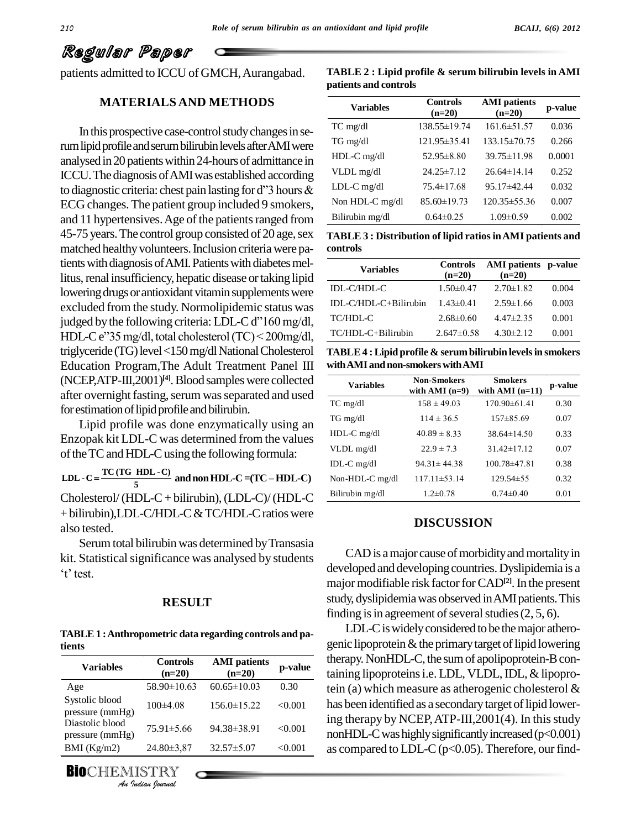# Regular Paper

patients admitted to ICCU of GMCH, Aurangabad.

## **MATERIALS AND METHODS**

In this prospective case-control study changes in serum lipid profile and serum bilirubin levels after AMI were analysed in 20 patients within 24-hours of admittance in<br>ICCU. The diagnosis of AMI was established according<br>to diagnostic criteria: chest pain lasting for d''3 hours & ICCU. The diagnosis of AMI was established according ECG changes.The patient group included 9 smokers, and 11 hypertensives. Age of the patients ranged from 45-75 years. The control group consisted of 20 age, sex matched healthy volunteers. Inclusion criteria were patients with diagnosis of AMI. Patients with diabetes mellitus, renal insufficiency, hepatic disease or taking lipid lowering drugs or antioxidant vitamin supplements were excluded from the study. Normolipidemic status was DLlowering drugs or antioxidant vitamin supplements were<br>excluded from the study. Normolipidemic status was<br>judged by the following criteria: LDL-C d''160 mg/dl, excluded from the study. Normolipidemic status was<br>judged by the following criteria: LDL-C d''160 mg/dl,<br>HDL-C e''35 mg/dl, total cholesterol (TC) < 200mg/dl, triglyceride (TG) level <150 mg/dl National Cholesterol Education Program,The Adult Treatment Panel III  $(NCEP, ATP-III,2001)^{[4]}$ . Blood samples were collected  $\overline{v_{2a}}$ after overnight fasting, serum was separated and used for estimation of lipid profile and bilirubin.

Lipid profile was done enzymatically using an Enzopak kit LDL-C was determined from the values of the TC and HDL-C using the following formula:

**5 TC (TG HDL -C) LDL - <sup>C</sup> andnonHDL-C=(TC <sup>ñ</sup>HDL-C)** Cholesterol/(HDL-C+ bilirubin),(LDL-C)/(HDL-C + bilirubin),LDL-C/HDL-C & TC/HDL-C ratios were

Serum total bilirubin was determined by Transasia kit. Statistical significance was analysed by students Serum to<br>Statistic<br>test.

#### **RESULT**

**TABLE1 :Anthropometric data regarding controls and patients**

| <b>Variables</b>                   | <b>Controls</b><br>$(n=20)$ | <b>AMI</b> patients<br>$(n=20)$ | p-value |
|------------------------------------|-----------------------------|---------------------------------|---------|
| Age                                | $58.90 \pm 10.63$           | $60.65 \pm 10.03$               | 0.30    |
| Systolic blood<br>pressure (mmHg)  | $100\pm4.08$                | $156.0 \pm 15.22$               | < 0.001 |
| Diastolic blood<br>pressure (mmHg) | $75.91 \pm 5.66$            | 94.38±38.91                     | < 0.001 |
| BMI $(Kg/m2)$                      | $24.80 \pm 3.87$            | $32.57 \pm 5.07$                | < 0.001 |
| <b>BIOCHEMISTRY</b>                | An Indian Nournal           |                                 |         |

 $\begin{array}{cc}\n\text{BiocHEMISTRY} & \overbrace{\mathcal{A}_{n}}\n\end{array}$ 

also tested.

| TABLE $2:$ Lipid profile $\&$ serum bilirubin levels in AMI |  |
|-------------------------------------------------------------|--|
| patients and controls                                       |  |

| <b>Variables</b> | <b>Controls</b><br>$(n=20)$ | <b>AMI</b> patients<br>$(n=20)$ | p-value |
|------------------|-----------------------------|---------------------------------|---------|
| $TC$ mg/dl       | 138.55±19.74                | 161.6±51.57                     | 0.036   |
| TG mg/dl         | 121.95±35.41                | $133.15 \pm 70.75$              | 0.266   |
| HDL-C mg/dl      | $52.95 \pm 8.80$            | $39.75 \pm 11.98$               | 0.0001  |
| VLDL mg/dl       | $24.25 \pm 7.12$            | $26.64\pm14.14$                 | 0.252   |
| $LDL-C$ mg/dl    | $75.4 \pm 17.68$            | $95.17\pm42.44$                 | 0.032   |
| Non HDL-C mg/dl  | $85.60 \pm 19.73$           | $120.35 \pm 55.36$              | 0.007   |
| Bilirubin mg/dl  | $0.64 \pm 0.25$             | $1.09 \pm 0.59$                 | 0.002   |

**TABLE 3 : Distribution of lipid ratiosinAMI patients and controls**

| <b>Variables</b>        | $(n=20)$        | Controls AMI patients p-value<br>$(n=20)$ |       |
|-------------------------|-----------------|-------------------------------------------|-------|
| IDL-C/HDL-C             | $1.50 \pm 0.47$ | $2.70 \pm 1.82$                           | 0.004 |
| $IDL-C/HDL-C+Bilirubin$ | $1.43 \pm 0.41$ | $2.59 \pm 1.66$                           | 0.003 |
| TC/HDL-C                | $2.68 \pm 0.60$ | $4.47 \pm 2.35$                           | 0.001 |
| TC/HDL-C+Bilirubin      | $2.647\pm0.58$  | $4.30 \pm 2.12$                           | 0.001 |

**TABLE4 :Lipid profile & serumbilirubin levelsin smokers withAMI andnon-smokerswithAMI**

| <b>Variables</b>  | <b>Non-Smokers</b><br>with AMI $(n=9)$ | <b>Smokers</b><br>with AMI $(n=11)$ | p-value |
|-------------------|----------------------------------------|-------------------------------------|---------|
| $TC$ mg/dl        | $158 \pm 49.03$                        | $170.90\pm 61.41$                   | 0.30    |
| TG mg/dl          | $114 \pm 36.5$                         | $157\pm85.69$                       | 0.07    |
| $HDL-C$ mg/dl     | $40.89 \pm 8.33$                       | $38.64\pm14.50$                     | 0.33    |
| VLDL mg/dl        | $22.9 \pm 7.3$                         | $31.42 \pm 17.12$                   | 0.07    |
| IDL-C $mg/dl$     | $94.31 \pm 44.38$                      | $100.78\pm47.81$                    | 0.38    |
| Non-HDL-C $mg/dl$ | 117.11±53.14                           | $129.54 \pm 55$                     | 0.32    |
| Bilirubin mg/dl   | $1.2 \pm 0.78$                         | $0.74 \pm 0.40$                     | 0.01    |

#### **DISCUSSION**

CAD is a major cause of morbidity and mortality in developed and developing countries. Dyslipidemia is a major modifiable risk factor for CAD<sup>[2]</sup>. In the present study, dyslipidemiawas observed inAMIpatients.This finding is in agreement of several studies  $(2, 5, 6)$ .

LDL-Ciswidelyconsidered to be themajor athero genic lipoprotein  $&$  the primary target of lipid lowering therapy. NonHDL-C, the sum of apolipoprotein-B con- $\frac{1}{(n-20)}$  **p-value** taining lipoproteins i.e. LDL, VLDL, IDL, & lipoprotein (a) which measure as atherogenic cholesterol & has been identified as a secondary target of lipid lowering therapy by NCEP, ATP-III,  $2001(4)$ . In this study nonHDL-C was highly significantly increased  $(p<0.001)$ as compared to LDL-C ( $p<0.05$ ). Therefore, our find-